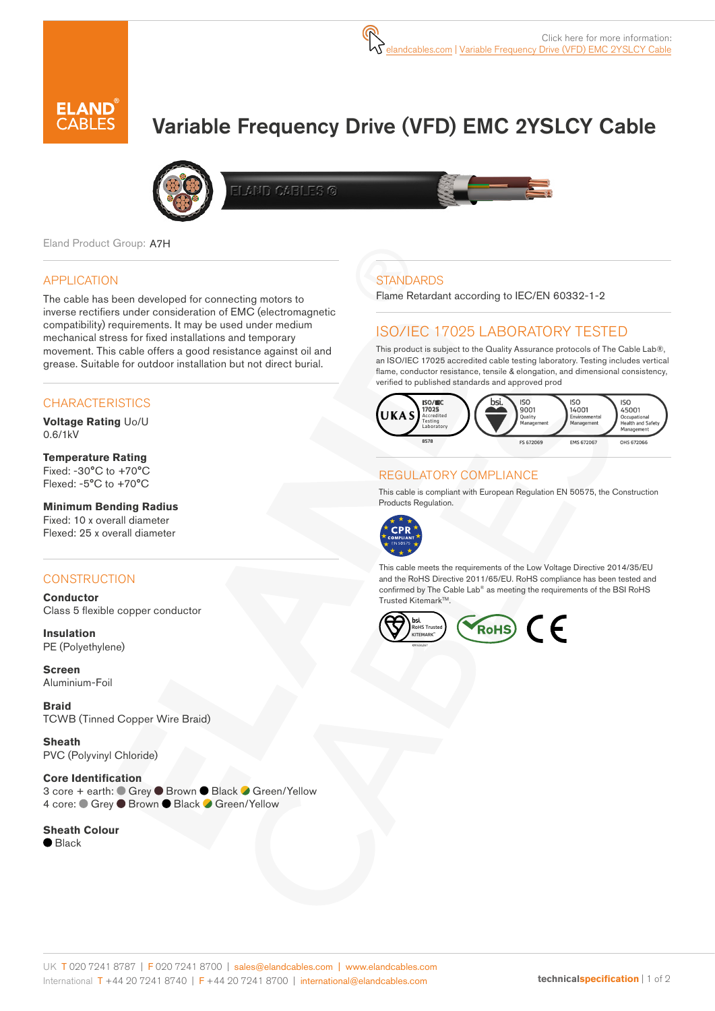

# Variable Frequency Drive (VFD) EMC 2YSLCY Cable



AND CABLES ©

Eland Product Group: A7H

## APPLICATION

The cable has been developed for connecting motors to inverse rectifiers under consideration of EMC (electromagnetic compatibility) requirements. It may be used under medium mechanical stress for fixed installations and temporary movement. This cable offers a good resistance against oil and grease. Suitable for outdoor installation but not direct burial.

## **CHARACTERISTICS**

**Voltage Rating** Uo/U 0.6/1kV

**Temperature Rating** Fixed: -30°C to +70°C Flexed: -5°C to +70°C

#### **Minimum Bending Radius**  Fixed: 10 x overall diameter

Flexed: 25 x overall diameter

### **CONSTRUCTION**

**Conductor** Class 5 flexible copper conductor

**Insulation** PE (Polyethylene)

**Screen** Aluminium-Foil

**Braid** TCWB (Tinned Copper Wire Braid)

**Sheath** PVC (Polyvinyl Chloride)

**Core Identification** 3 core + earth: ● Grey ● Brown ● Black ● Green/Yellow 4 core: Crey C Brown C Black C Green/Yellow

**Sheath Colour**  $\bullet$  Black

# **STANDARDS**

Flame Retardant according to IEC/EN 60332-1-2

## ISO/IEC 17025 LABORATORY TESTED

This product is subject to the Quality Assurance protocols of The Cable Lab®, an ISO/IEC 17025 accredited cable testing laboratory. Testing includes vertical flame, conductor resistance, tensile & elongation, and dimensional consistency, verified to published standards and approved prod



## REGULATORY COMPLIANCE

This cable is compliant with European Regulation EN 50575, the Construction Products Regulation.



This cable meets the requirements of the Low Voltage Directive 2014/35/EU and the RoHS Directive 2011/65/EU. RoHS compliance has been tested and confirmed by The Cable Lab® as meeting the requirements of the BSI RoHS Trusted Kitemark™.

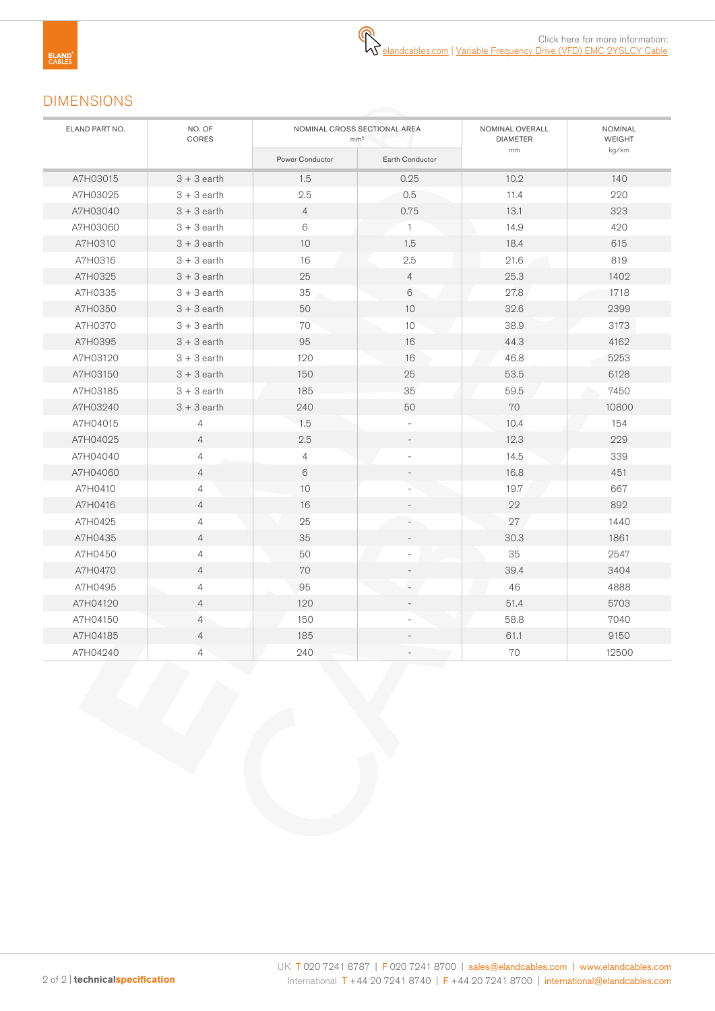# DIMENSIONS

| ELAND PART NO. | NO. OF<br>CORES | NOMINAL CROSS SECTIONAL AREA<br>mm <sup>2</sup> |                 | NOMINAL OVERALL<br><b>DIAMETER</b> | NOMINAL<br>WEIGHT |
|----------------|-----------------|-------------------------------------------------|-----------------|------------------------------------|-------------------|
|                |                 | Power Conductor                                 | Earth Conductor | mm                                 | kg/km             |
| A7H03015       | $3 + 3$ earth   | 1.5                                             | 0.25            | 10.2                               | 140               |
| A7H03025       | $3 + 3$ earth   | 2.5                                             | 0.5             | 11.4                               | 220               |
| A7H03040       | $3 + 3$ earth   | $\overline{4}$                                  | 0.75            | 13.1                               | 323               |
| A7H03060       | $3 + 3$ earth   | 6                                               | $\mathbf{1}$    | 14.9                               | 420               |
| A7H0310        | $3 + 3$ earth   | 10                                              | 1.5             | 18.4                               | 615               |
| A7H0316        | $3 + 3$ earth   | 16                                              | 2.5             | 21.6                               | 819               |
| A7H0325        | $3 + 3$ earth   | 25                                              | $\overline{4}$  | 25.3                               | 1402              |
| A7H0335        | $3 + 3$ earth   | 35                                              | 6               | 27.8                               | 1718              |
| A7H0350        | $3 + 3$ earth   | 50                                              | 10              | 32.6                               | 2399              |
| A7H0370        | $3 + 3$ earth   | 70                                              | 10              | 38.9                               | 3173              |
| A7H0395        | $3 + 3$ earth   | 95                                              | 16              | 44.3                               | 4162              |
| A7H03120       | $3 + 3$ earth   | 120                                             | 16              | 46.8                               | 5253              |
| A7H03150       | $3 + 3$ earth   | 150                                             | 25              | 53.5                               | 6128              |
| A7H03185       | $3 + 3$ earth   | 185                                             | 35              | 59.5                               | 7450              |
| A7H03240       | $3 + 3$ earth   | 240                                             | 50              | 70                                 | 10800             |
| A7H04015       | 4               | 1.5                                             |                 | 10.4                               | 154               |
| A7H04025       | $\overline{4}$  | 2.5                                             |                 | 12.3                               | 229               |
| A7H04040       | $\overline{4}$  | $\overline{4}$                                  |                 | 14.5                               | 339               |
| A7H04060       | 4               | 6                                               |                 | 16.8                               | 451               |
| A7H0410        | 4               | 10                                              |                 | 19.7                               | 667               |
| A7H0416        | 4               | 16                                              |                 | 22                                 | 892               |
| A7H0425        | 4               | 25                                              |                 | 27                                 | 1440              |
| A7H0435        | 4               | 35                                              |                 | 30.3                               | 1861              |
| A7H0450        | 4               | 50                                              |                 | 35                                 | 2547              |
| A7H0470        | $\overline{4}$  | 70                                              |                 | 39.4                               | 3404              |
| A7H0495        | 4               | 95                                              |                 | 46                                 | 4888              |
| A7H04120       | 4               | 120                                             |                 | 51.4                               | 5703              |
| A7H04150       | 4               | 150                                             |                 | 58.8                               | 7040              |
| A7H04185       | $\overline{4}$  | 185                                             |                 | 61.1                               | 9150              |
| A7H04240       | $\overline{4}$  | 240                                             |                 | 70                                 | 12500             |